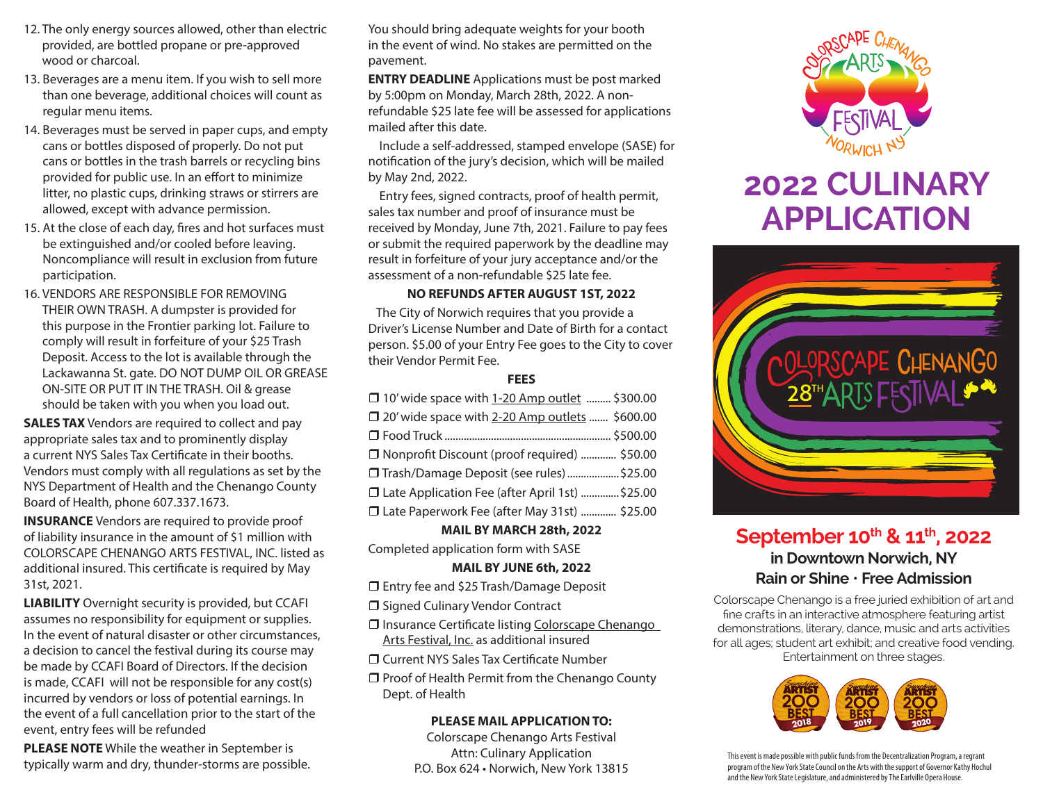- 12. The only energy sources allowed, other than electric provided, are bottled propane or pre-approved wood or charcoal.
- 13. Beverages are a menu item. If you wish to sell more than one beverage, additional choices will count as regular menu items.
- 14. Beverages must be served in paper cups, and empty cans or bottles disposed of properly. Do not put cans or bottles in the trash barrels or recycling bins provided for public use. In an effort to minimize litter, no plastic cups, drinking straws or stirrers are allowed, except with advance permission.
- 15. At the close of each day, fires and hot surfaces must be extinguished and/or cooled before leaving. Noncompliance will result in exclusion from future participation.
- 16. VENDORS ARE RESPONSIBLE FOR REMOVING THEIR OWN TRASH. A dumpster is provided for this purpose in the Frontier parking lot. Failure to comply will result in forfeiture of your \$25 Trash Deposit. Access to the lot is available through the Lackawanna St. gate. DO NOT DUMP OIL OR GREASE ON-SITE OR PUT IT IN THE TRASH. Oil & grease should be taken with you when you load out.

**SALES TAX** Vendors are required to collect and pay appropriate sales tax and to prominently display a current NYS Sales Tax Certificate in their booths. Vendors must comply with all regulations as set by the NYS Department of Health and the Chenango County Board of Health, phone 607.337.1673.

**INSURANCE** Vendors are required to provide proof of liability insurance in the amount of \$1 million with COLORSCAPE CHENANGO ARTS FESTIVAL, INC. listed as additional insured. This certificate is required by May 31st, 2021.

**LIABILITY** Overnight security is provided, but CCAFI assumes no responsibility for equipment or supplies. In the event of natural disaster or other circumstances, a decision to cancel the festival during its course may be made by CCAFI Board of Directors. If the decision is made, CCAFI will not be responsible for any cost(s) incurred by vendors or loss of potential earnings. In the event of a full cancellation prior to the start of the event, entry fees will be refunded

**PLEASE NOTE** While the weather in September is typically warm and dry, thunder-storms are possible. You should bring adequate weights for your booth in the event of wind. No stakes are permitted on the pavement.

**ENTRY DEADLINE** Applications must be post marked by 5:00pm on Monday, March 28th, 2022. A nonrefundable \$25 late fee will be assessed for applications mailed after this date.

 Include a self-addressed, stamped envelope (SASE) for notification of the jury's decision, which will be mailed by May 2nd, 2022.

 Entry fees, signed contracts, proof of health permit, sales tax number and proof of insurance must be received by Monday, June 7th, 2021. Failure to pay fees or submit the required paperwork by the deadline may result in forfeiture of your jury acceptance and/or the assessment of a non-refundable \$25 late fee.

### **NO REFUNDS AFTER AUGUST 1ST, 2022**

 The City of Norwich requires that you provide a Driver's License Number and Date of Birth for a contact person. \$5.00 of your Entry Fee goes to the City to cover their Vendor Permit Fee.

#### **FEES**

| □ 10' wide space with 1-20 Amp outlet  \$300.00  |  |
|--------------------------------------------------|--|
| □ 20' wide space with 2-20 Amp outlets  \$600.00 |  |
|                                                  |  |
| □ Nonprofit Discount (proof required)  \$50.00   |  |
| □ Trash/Damage Deposit (see rules) \$25.00       |  |
| □ Late Application Fee (after April 1st) \$25.00 |  |
| □ Late Paperwork Fee (after May 31st)  \$25.00   |  |

#### **MAIL BY MARCH 28th, 2022**

Completed application form with SASE

#### **MAIL BY JUNE 6th, 2022**

□ Entry fee and \$25 Trash/Damage Deposit

□ Signed Culinary Vendor Contract

□ Insurance Certificate listing Colorscape Chenango Arts Festival, Inc. as additional insured

Current NYS Sales Tax Certificate Number

 $\Box$  Proof of Health Permit from the Chenango County Dept. of Health

#### **PLEASE MAIL APPLICATION TO:**

Colorscape Chenango Arts Festival Attn: Culinary Application P.O. Box 624 • Norwich, New York 13815



# **2022 CULINARY APPLICATION**



# September 10<sup>th</sup> & 11<sup>th</sup>, 2022 **in Downtown Norwich, NY Rain or Shine** • **Free Admission**

Colorscape Chenango is a free juried exhibition of art and fine crafts in an interactive atmosphere featuring artist demonstrations, literary, dance, music and arts activities for all ages; student art exhibit; and creative food vending. Entertainment on three stages.



This event is made possible with public funds from the Decentralization Program, a regrant program of the New York State Council on the Arts with the support of Governor Kathy Hochul and the New York State Legislature, and administered by The Earlville Opera House.